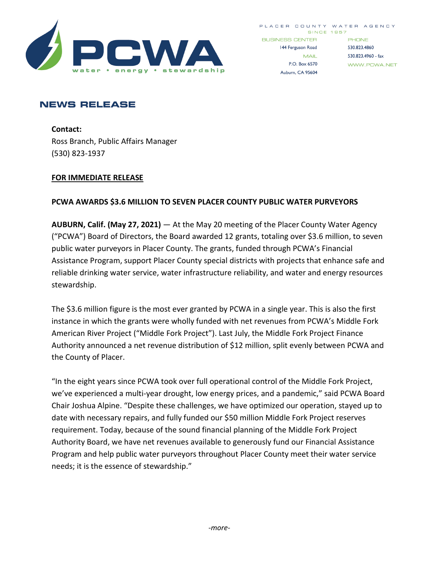

WWW.PCWA.NET

P.O. Box 6570

Auburn, CA 95604

# **NEWS RELEASE**

**Contact:**  Ross Branch, Public Affairs Manager (530) 823-1937

### **FOR IMMEDIATE RELEASE**

## **PCWA AWARDS \$3.6 MILLION TO SEVEN PLACER COUNTY PUBLIC WATER PURVEYORS**

**AUBURN, Calif. (May 27, 2021)** — At the May 20 meeting of the Placer County Water Agency ("PCWA") Board of Directors, the Board awarded 12 grants, totaling over \$3.6 million, to seven public water purveyors in Placer County. The grants, funded through PCWA's Financial Assistance Program, support Placer County special districts with projects that enhance safe and reliable drinking water service, water infrastructure reliability, and water and energy resources stewardship.

The \$3.6 million figure is the most ever granted by PCWA in a single year. This is also the first instance in which the grants were wholly funded with net revenues from PCWA's Middle Fork American River Project ("Middle Fork Project"). Last July, the Middle Fork Project Finance Authority announced a net revenue distribution of \$12 million, split evenly between PCWA and the County of Placer.

"In the eight years since PCWA took over full operational control of the Middle Fork Project, we've experienced a multi-year drought, low energy prices, and a pandemic," said PCWA Board Chair Joshua Alpine. "Despite these challenges, we have optimized our operation, stayed up to date with necessary repairs, and fully funded our \$50 million Middle Fork Project reserves requirement. Today, because of the sound financial planning of the Middle Fork Project Authority Board, we have net revenues available to generously fund our Financial Assistance Program and help public water purveyors throughout Placer County meet their water service needs; it is the essence of stewardship."